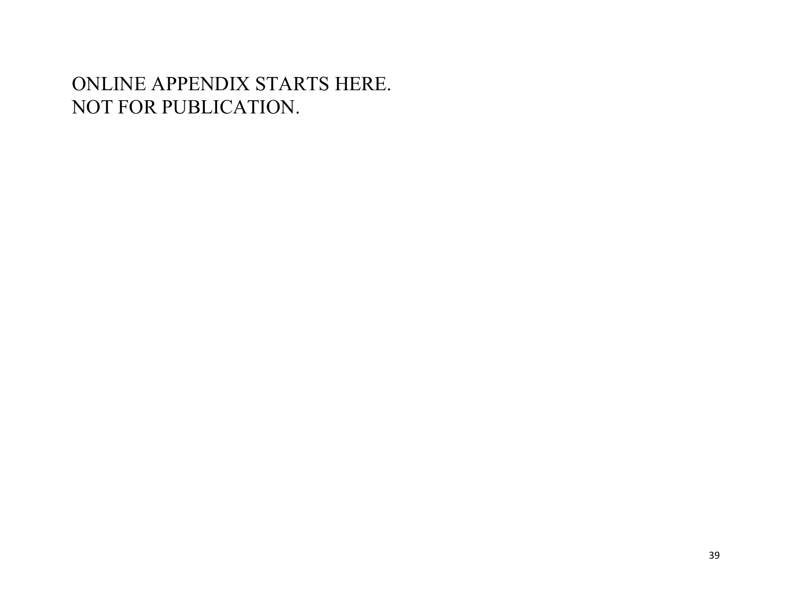# ONLINE APPENDIX STARTS HERE. NOT FOR PUBLICATION.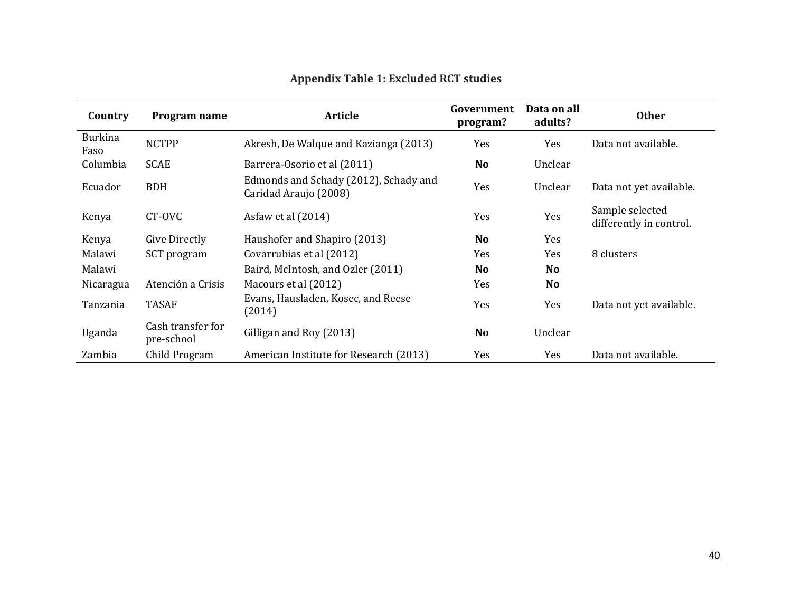| Country                | Program name                    | <b>Article</b>                                                 | Government<br>program? | Data on all<br>adults? | <b>Other</b>                               |
|------------------------|---------------------------------|----------------------------------------------------------------|------------------------|------------------------|--------------------------------------------|
| <b>Burkina</b><br>Faso | <b>NCTPP</b>                    | Akresh, De Walque and Kazianga (2013)                          | Yes                    | Yes                    | Data not available.                        |
| Columbia               | <b>SCAE</b>                     | Barrera-Osorio et al (2011)                                    | <b>No</b>              | Unclear                |                                            |
| Ecuador                | <b>BDH</b>                      | Edmonds and Schady (2012), Schady and<br>Caridad Araujo (2008) | Yes                    | Unclear                | Data not yet available.                    |
| Kenya                  | CT-OVC                          | Asfaw et al (2014)                                             | Yes                    | Yes                    | Sample selected<br>differently in control. |
| Kenya                  | Give Directly                   | Haushofer and Shapiro (2013)                                   | <b>No</b>              | Yes                    |                                            |
| Malawi                 | SCT program                     | Covarrubias et al (2012)                                       | Yes                    | Yes                    | 8 clusters                                 |
| Malawi                 |                                 | Baird, McIntosh, and Ozler (2011)                              | <b>No</b>              | <b>No</b>              |                                            |
| Nicaragua              | Atención a Crisis               | Macours et al (2012)                                           | Yes                    | <b>No</b>              |                                            |
| Tanzania               | <b>TASAF</b>                    | Evans, Hausladen, Kosec, and Reese<br>(2014)                   | Yes                    | Yes                    | Data not yet available.                    |
| Uganda                 | Cash transfer for<br>pre-school | Gilligan and Roy (2013)                                        | <b>No</b>              | Unclear                |                                            |
| Zambia                 | Child Program                   | American Institute for Research (2013)                         | Yes                    | Yes                    | Data not available.                        |

## **Appendix Table 1: Excluded RCT studies**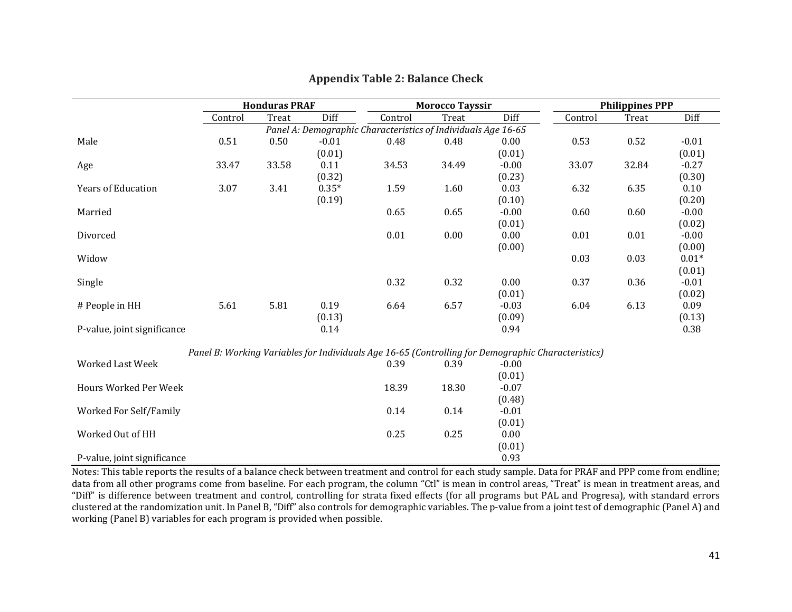|                             | <b>Honduras PRAF</b> |       |         |                                                                                                    | <b>Morocco Tayssir</b> |         | <b>Philippines PPP</b> |       |         |
|-----------------------------|----------------------|-------|---------|----------------------------------------------------------------------------------------------------|------------------------|---------|------------------------|-------|---------|
|                             | Control              | Treat | Diff    | Control                                                                                            | Treat                  | Diff    | Control                | Treat | Diff    |
|                             |                      |       |         | Panel A: Demographic Characteristics of Individuals Age 16-65                                      |                        |         |                        |       |         |
| Male                        | 0.51                 | 0.50  | $-0.01$ | 0.48                                                                                               | 0.48                   | 0.00    | 0.53                   | 0.52  | $-0.01$ |
|                             |                      |       | (0.01)  |                                                                                                    |                        | (0.01)  |                        |       | (0.01)  |
| Age                         | 33.47                | 33.58 | 0.11    | 34.53                                                                                              | 34.49                  | $-0.00$ | 33.07                  | 32.84 | $-0.27$ |
|                             |                      |       | (0.32)  |                                                                                                    |                        | (0.23)  |                        |       | (0.30)  |
| <b>Years of Education</b>   | 3.07                 | 3.41  | $0.35*$ | 1.59                                                                                               | 1.60                   | 0.03    | 6.32                   | 6.35  | 0.10    |
|                             |                      |       | (0.19)  |                                                                                                    |                        | (0.10)  |                        |       | (0.20)  |
| Married                     |                      |       |         | 0.65                                                                                               | 0.65                   | $-0.00$ | 0.60                   | 0.60  | $-0.00$ |
|                             |                      |       |         |                                                                                                    |                        | (0.01)  |                        |       | (0.02)  |
| Divorced                    |                      |       |         | $0.01\,$                                                                                           | 0.00                   | 0.00    | 0.01                   | 0.01  | $-0.00$ |
|                             |                      |       |         |                                                                                                    |                        | (0.00)  |                        |       | (0.00)  |
| Widow                       |                      |       |         |                                                                                                    |                        |         | 0.03                   | 0.03  | $0.01*$ |
|                             |                      |       |         |                                                                                                    |                        |         |                        |       | (0.01)  |
| Single                      |                      |       |         | 0.32                                                                                               | 0.32                   | 0.00    | 0.37                   | 0.36  | $-0.01$ |
|                             |                      |       |         |                                                                                                    |                        | (0.01)  |                        |       | (0.02)  |
| # People in HH              | 5.61                 | 5.81  | 0.19    | 6.64                                                                                               | 6.57                   | $-0.03$ | 6.04                   | 6.13  | 0.09    |
|                             |                      |       | (0.13)  |                                                                                                    |                        | (0.09)  |                        |       | (0.13)  |
| P-value, joint significance |                      |       | 0.14    |                                                                                                    |                        | 0.94    |                        |       | 0.38    |
|                             |                      |       |         | Panel B: Working Variables for Individuals Age 16-65 (Controlling for Demographic Characteristics) |                        |         |                        |       |         |
| <b>Worked Last Week</b>     |                      |       |         | 0.39                                                                                               | 0.39                   | $-0.00$ |                        |       |         |
|                             |                      |       |         |                                                                                                    |                        | (0.01)  |                        |       |         |
| Hours Worked Per Week       |                      |       |         | 18.39                                                                                              | 18.30                  | $-0.07$ |                        |       |         |
|                             |                      |       |         |                                                                                                    |                        | (0.48)  |                        |       |         |
| Worked For Self/Family      |                      |       |         | 0.14                                                                                               | 0.14                   | $-0.01$ |                        |       |         |
|                             |                      |       |         |                                                                                                    |                        | (0.01)  |                        |       |         |
| Worked Out of HH            |                      |       |         | 0.25                                                                                               | 0.25                   | 0.00    |                        |       |         |
|                             |                      |       |         |                                                                                                    |                        | (0.01)  |                        |       |         |
| P-value, joint significance |                      |       |         |                                                                                                    |                        | 0.93    |                        |       |         |

#### **Appendix Table 2: Balance Check**

Notes: This table reports the results of a balance check between treatment and control for each study sample. Data for PRAF and PPP come from endline; data from all other programs come from baseline. For each program, the column "Ctl" is mean in control areas, "Treat" is mean in treatment areas, and "Diff" is difference between treatment and control, controlling for strata fixed effects (for all programs but PAL and Progresa), with standard errors clustered at the randomization unit. In Panel B, "Diff" also controls for demographic variables. The p-value from a joint test of demographic (Panel A) and working (Panel B) variables for each program is provided when possible.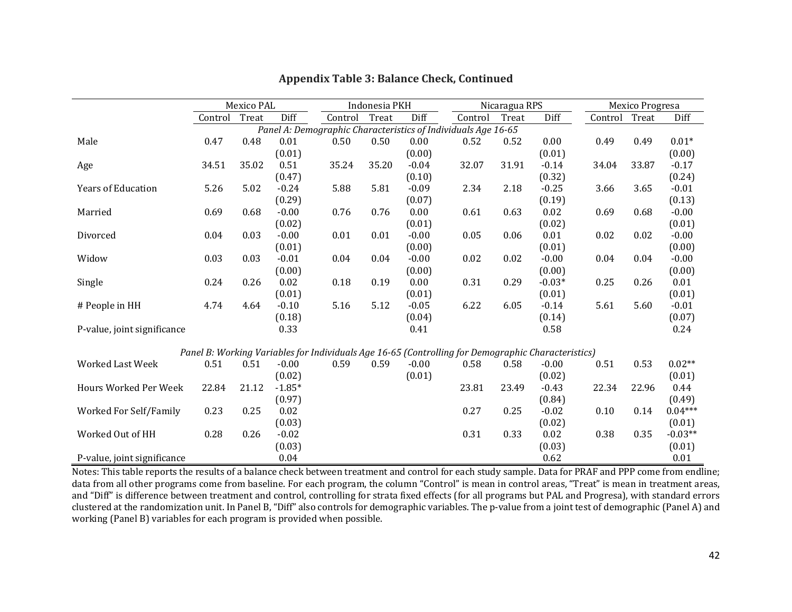|                             | Mexico PAL |       |          | Indonesia PKH |       |         | Nicaragua RPS                                                                                      |       |          | Mexico Progresa |       |           |
|-----------------------------|------------|-------|----------|---------------|-------|---------|----------------------------------------------------------------------------------------------------|-------|----------|-----------------|-------|-----------|
|                             | Control    | Treat | Diff     | Control       | Treat | Diff    | Control                                                                                            | Treat | Diff     | Control         | Treat | Diff      |
|                             |            |       |          |               |       |         | Panel A: Demographic Characteristics of Individuals Age 16-65                                      |       |          |                 |       |           |
| Male                        | 0.47       | 0.48  | 0.01     | 0.50          | 0.50  | 0.00    | 0.52                                                                                               | 0.52  | 0.00     | 0.49            | 0.49  | $0.01*$   |
|                             |            |       | (0.01)   |               |       | (0.00)  |                                                                                                    |       | (0.01)   |                 |       | (0.00)    |
| Age                         | 34.51      | 35.02 | 0.51     | 35.24         | 35.20 | $-0.04$ | 32.07                                                                                              | 31.91 | $-0.14$  | 34.04           | 33.87 | $-0.17$   |
|                             |            |       | (0.47)   |               |       | (0.10)  |                                                                                                    |       | (0.32)   |                 |       | (0.24)    |
| <b>Years of Education</b>   | 5.26       | 5.02  | $-0.24$  | 5.88          | 5.81  | $-0.09$ | 2.34                                                                                               | 2.18  | $-0.25$  | 3.66            | 3.65  | $-0.01$   |
|                             |            |       | (0.29)   |               |       | (0.07)  |                                                                                                    |       | (0.19)   |                 |       | (0.13)    |
| Married                     | 0.69       | 0.68  | $-0.00$  | 0.76          | 0.76  | 0.00    | 0.61                                                                                               | 0.63  | 0.02     | 0.69            | 0.68  | $-0.00$   |
|                             |            |       | (0.02)   |               |       | (0.01)  |                                                                                                    |       | (0.02)   |                 |       | (0.01)    |
| Divorced                    | 0.04       | 0.03  | $-0.00$  | 0.01          | 0.01  | $-0.00$ | 0.05                                                                                               | 0.06  | 0.01     | 0.02            | 0.02  | $-0.00$   |
|                             |            |       | (0.01)   |               |       | (0.00)  |                                                                                                    |       | (0.01)   |                 |       | (0.00)    |
| Widow                       | 0.03       | 0.03  | $-0.01$  | 0.04          | 0.04  | $-0.00$ | 0.02                                                                                               | 0.02  | $-0.00$  | 0.04            | 0.04  | $-0.00$   |
|                             |            |       | (0.00)   |               |       | (0.00)  |                                                                                                    |       | (0.00)   |                 |       | (0.00)    |
| Single                      | 0.24       | 0.26  | 0.02     | 0.18          | 0.19  | 0.00    | 0.31                                                                                               | 0.29  | $-0.03*$ | 0.25            | 0.26  | 0.01      |
|                             |            |       | (0.01)   |               |       | (0.01)  |                                                                                                    |       | (0.01)   |                 |       | (0.01)    |
| # People in HH              | 4.74       | 4.64  | $-0.10$  | 5.16          | 5.12  | $-0.05$ | 6.22                                                                                               | 6.05  | $-0.14$  | 5.61            | 5.60  | $-0.01$   |
|                             |            |       | (0.18)   |               |       | (0.04)  |                                                                                                    |       | (0.14)   |                 |       | (0.07)    |
| P-value, joint significance |            |       | 0.33     |               |       | 0.41    |                                                                                                    |       | 0.58     |                 |       | 0.24      |
|                             |            |       |          |               |       |         |                                                                                                    |       |          |                 |       |           |
|                             |            |       |          |               |       |         | Panel B: Working Variables for Individuals Age 16-65 (Controlling for Demographic Characteristics) |       |          |                 |       |           |
| Worked Last Week            | 0.51       | 0.51  | $-0.00$  | 0.59          | 0.59  | $-0.00$ | 0.58                                                                                               | 0.58  | $-0.00$  | 0.51            | 0.53  | $0.02**$  |
|                             |            |       | (0.02)   |               |       | (0.01)  |                                                                                                    |       | (0.02)   |                 |       | (0.01)    |
| Hours Worked Per Week       | 22.84      | 21.12 | $-1.85*$ |               |       |         | 23.81                                                                                              | 23.49 | $-0.43$  | 22.34           | 22.96 | 0.44      |
|                             |            |       | (0.97)   |               |       |         |                                                                                                    |       | (0.84)   |                 |       | (0.49)    |
| Worked For Self/Family      | 0.23       | 0.25  | 0.02     |               |       |         | 0.27                                                                                               | 0.25  | $-0.02$  | 0.10            | 0.14  | $0.04***$ |
|                             |            |       | (0.03)   |               |       |         |                                                                                                    |       | (0.02)   |                 |       | (0.01)    |
| Worked Out of HH            | 0.28       | 0.26  | $-0.02$  |               |       |         | 0.31                                                                                               | 0.33  | 0.02     | 0.38            | 0.35  | $-0.03**$ |
|                             |            |       | (0.03)   |               |       |         |                                                                                                    |       | (0.03)   |                 |       | (0.01)    |
| P-value, joint significance |            |       | 0.04     |               |       |         |                                                                                                    |       | 0.62     |                 |       | 0.01      |

#### **Appendix Table 3: Balance Check, Continued**

Notes: This table reports the results of a balance check between treatment and control for each study sample. Data for PRAF and PPP come from endline; data from all other programs come from baseline. For each program, the column "Control" is mean in control areas, "Treat" is mean in treatment areas, and "Diff" is difference between treatment and control, controlling for strata fixed effects (for all programs but PAL and Progresa), with standard errors clustered at the randomization unit. In Panel B, "Diff" also controls for demographic variables. The p-value from a joint test of demographic (Panel A) and working (Panel B) variables for each program is provided when possible.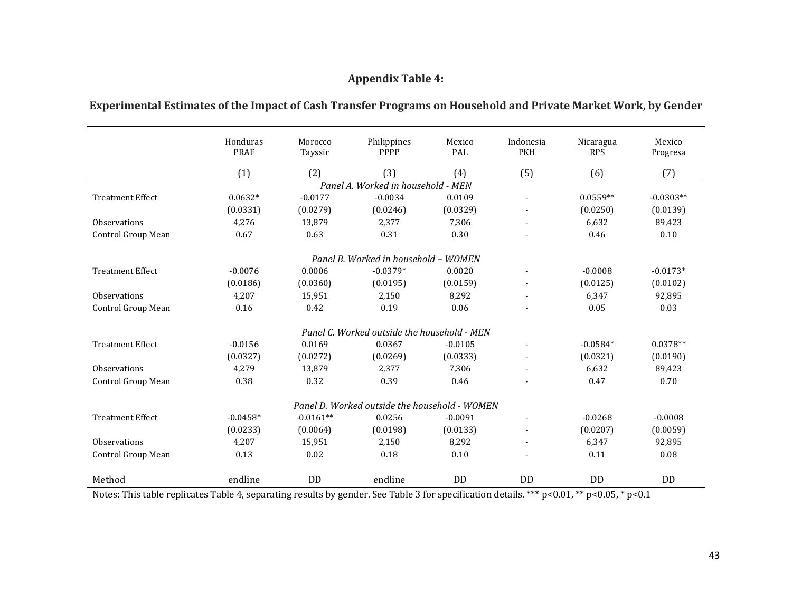## **Appendix Table 4:**

| Experimental Estimates of the Impact of Cash Transfer Programs on Household and Private Market Work, by Gender |  |
|----------------------------------------------------------------------------------------------------------------|--|
|----------------------------------------------------------------------------------------------------------------|--|

|                         | Honduras<br><b>PRAF</b> | Morocco<br>Tayssir | Philippines<br>PPPP                           | Mexico<br>PAL | Indonesia<br><b>PKH</b> | Nicaragua<br><b>RPS</b> | Mexico<br>Progresa |
|-------------------------|-------------------------|--------------------|-----------------------------------------------|---------------|-------------------------|-------------------------|--------------------|
|                         | (1)                     | (2)                | (3)                                           | (4)           | (5)                     | (6)                     | (7)                |
|                         |                         |                    | Panel A. Worked in household - MEN            |               |                         |                         |                    |
| <b>Treatment Effect</b> | $0.0632*$               | $-0.0177$          | $-0.0034$                                     | 0.0109        | -                       | $0.0559**$              | $-0.0303**$        |
|                         | (0.0331)                | (0.0279)           | (0.0246)                                      | (0.0329)      | $\blacksquare$          | (0.0250)                | (0.0139)           |
| <b>Observations</b>     | 4,276                   | 13,879             | 2,377                                         | 7,306         |                         | 6,632                   | 89,423             |
| Control Group Mean      | 0.67                    | 0.63               | 0.31                                          | 0.30          |                         | 0.46                    | 0.10               |
|                         |                         |                    | Panel B. Worked in household - WOMEN          |               |                         |                         |                    |
| <b>Treatment Effect</b> | $-0.0076$               | 0.0006             | $-0.0379*$                                    | 0.0020        | $\blacksquare$          | $-0.0008$               | $-0.0173*$         |
|                         | (0.0186)                | (0.0360)           | (0.0195)                                      | (0.0159)      |                         | (0.0125)                | (0.0102)           |
| <b>Observations</b>     | 4,207                   | 15,951             | 2,150                                         | 8,292         |                         | 6,347                   | 92,895             |
| Control Group Mean      | 0.16                    | 0.42               | 0.19                                          | 0.06          |                         | 0.05                    | 0.03               |
|                         |                         |                    | Panel C. Worked outside the household - MEN   |               |                         |                         |                    |
| <b>Treatment Effect</b> | $-0.0156$               | 0.0169             | 0.0367                                        | $-0.0105$     | $\blacksquare$          | $-0.0584*$              | $0.0378**$         |
|                         | (0.0327)                | (0.0272)           | (0.0269)                                      | (0.0333)      | ٠                       | (0.0321)                | (0.0190)           |
| <b>Observations</b>     | 4,279                   | 13.879             | 2,377                                         | 7,306         | $\blacksquare$          | 6,632                   | 89,423             |
| Control Group Mean      | 0.38                    | 0.32               | 0.39                                          | 0.46          |                         | 0.47                    | 0.70               |
|                         |                         |                    | Panel D. Worked outside the household - WOMEN |               |                         |                         |                    |
| <b>Treatment Effect</b> | $-0.0458*$              | $-0.0161**$        | 0.0256                                        | $-0.0091$     | $\blacksquare$          | $-0.0268$               | $-0.0008$          |
|                         | (0.0233)                | (0.0064)           | (0.0198)                                      | (0.0133)      |                         | (0.0207)                | (0.0059)           |
| Observations            | 4,207                   | 15,951             | 2,150                                         | 8,292         |                         | 6,347                   | 92,895             |
| Control Group Mean      | 0.13                    | 0.02               | 0.18                                          | 0.10          |                         | 0.11                    | 0.08               |
| Method                  | endline                 | <b>DD</b>          | endline                                       | <b>DD</b>     | <b>DD</b>               | <b>DD</b>               | <b>DD</b>          |

Notes: This table replicates Table 4, separating results by gender. See Table 3 for specification details. \*\*\* p<0.01, \*\* p<0.05, \* p<0.1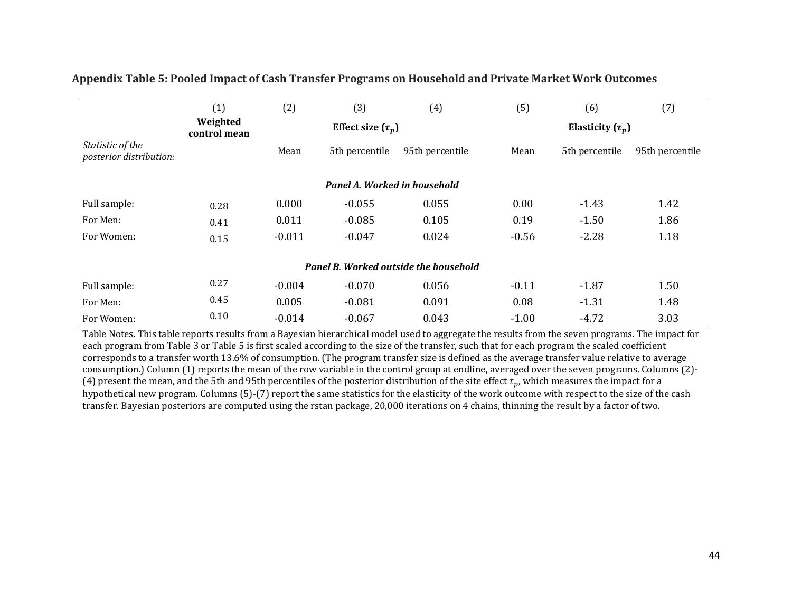|                                             | (1)                      | (2)      | (3)                          | (4)                                   | (5)                   | (6)            | (7)             |  |  |
|---------------------------------------------|--------------------------|----------|------------------------------|---------------------------------------|-----------------------|----------------|-----------------|--|--|
|                                             | Weighted<br>control mean |          | Effect size $(\tau_p)$       |                                       | Elasticity $(\tau_p)$ |                |                 |  |  |
| Statistic of the<br>posterior distribution: |                          | Mean     | 5th percentile               | 95th percentile                       | Mean                  | 5th percentile | 95th percentile |  |  |
|                                             |                          |          | Panel A. Worked in household |                                       |                       |                |                 |  |  |
| Full sample:                                | 0.28                     | 0.000    | $-0.055$                     | 0.055                                 | 0.00                  | $-1.43$        | 1.42            |  |  |
| For Men:                                    | 0.41                     | 0.011    | $-0.085$                     | 0.105                                 | 0.19                  | $-1.50$        | 1.86            |  |  |
| For Women:                                  | 0.15                     | $-0.011$ | $-0.047$                     | 0.024                                 | $-0.56$               | $-2.28$        | 1.18            |  |  |
|                                             |                          |          |                              | Panel B. Worked outside the household |                       |                |                 |  |  |
| Full sample:                                | 0.27                     | $-0.004$ | $-0.070$                     | 0.056                                 | $-0.11$               | $-1.87$        | 1.50            |  |  |
| For Men:                                    | 0.45                     | 0.005    | $-0.081$                     | 0.091                                 | 0.08                  | $-1.31$        | 1.48            |  |  |
| For Women:                                  | 0.10                     | $-0.014$ | $-0.067$                     | 0.043                                 | $-1.00$               | $-4.72$        | 3.03            |  |  |

#### **Appendix Table 5: Pooled Impact of Cash Transfer Programs on Household and Private Market Work Outcomes**

Table Notes. This table reports results from a Bayesian hierarchical model used to aggregate the results from the seven programs. The impact for each program from Table 3 or Table 5 is first scaled according to the size of the transfer, such that for each program the scaled coefficient corresponds to a transfer worth 13.6% of consumption. (The program transfer size is defined as the average transfer value relative to average consumption.) Column (1) reports the mean of the row variable in the control group at endline, averaged over the seven programs. Columns (2)-(4) present the mean, and the 5th and 95th percentiles of the posterior distribution of the site effect  $\tau_p$ , which measures the impact for a hypothetical new program. Columns (5)-(7) report the same statistics for the elasticity of the work outcome with respect to the size of the cash transfer. Bayesian posteriors are computed using the rstan package, 20,000 iterations on 4 chains, thinning the result by a factor of two.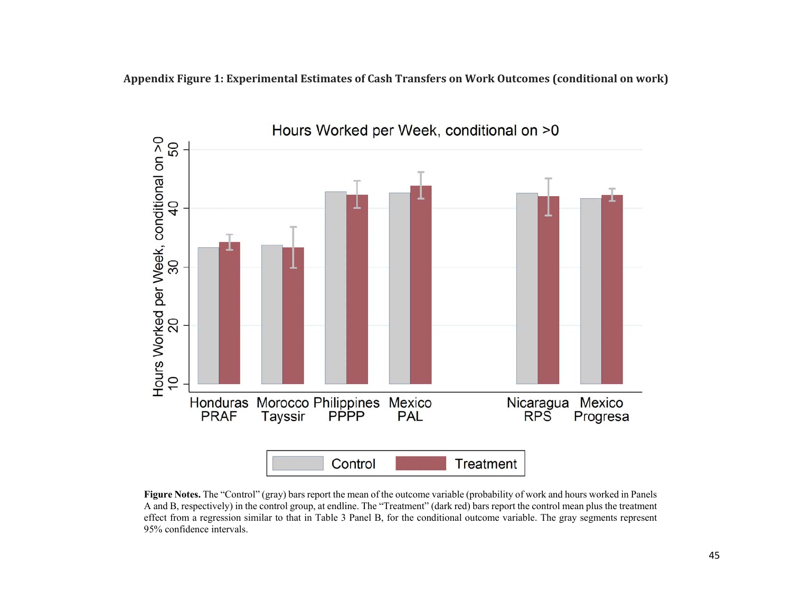**Appendix Figure 1: Experimental Estimates of Cash Transfers on Work Outcomes (conditional on work)**



**Figure Notes.** The "Control" (gray) bars report the mean of the outcome variable (probability of work and hours worked in Panels A and B, respectively) in the control group, at endline. The "Treatment" (dark red) bars report the control mean plus the treatment effect from a regression similar to that in Table 3 Panel B, for the conditional outcome variable. The gray segments represent 95% confidence intervals.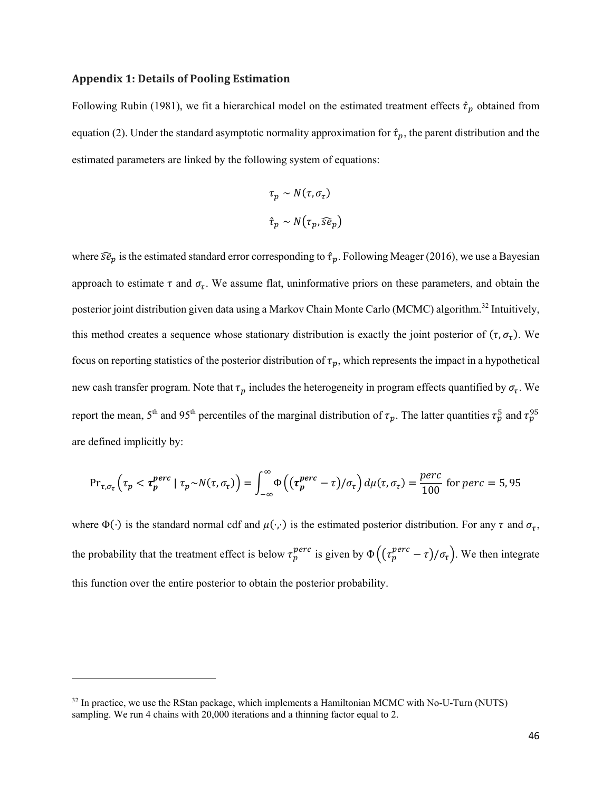#### **Appendix 1: Details of Pooling Estimation**

Following Rubin (1981), we fit a hierarchical model on the estimated treatment effects  $\hat{\tau}_p$  obtained from equation (2). Under the standard asymptotic normality approximation for  $\hat{\tau}_p$ , the parent distribution and the estimated parameters are linked by the following system of equations:

$$
\tau_p \sim N(\tau, \sigma_\tau)
$$
  

$$
\hat{\tau}_p \sim N(\tau_p, \widehat{se}_p)
$$

where  $\widehat{se}_p$  is the estimated standard error corresponding to  $\hat{\tau}_p$ . Following Meager (2016), we use a Bayesian approach to estimate  $\tau$  and  $\sigma_{\tau}$ . We assume flat, uninformative priors on these parameters, and obtain the posterior joint distribution given data using a Markov Chain Monte Carlo (MCMC) algorithm.<sup>32</sup> Intuitively, this method creates a sequence whose stationary distribution is exactly the joint posterior of  $(\tau, \sigma_{\tau})$ . We focus on reporting statistics of the posterior distribution of  $\tau_p$ , which represents the impact in a hypothetical new cash transfer program. Note that  $\tau_p$  includes the heterogeneity in program effects quantified by  $\sigma_{\tau}$ . We report the mean, 5<sup>th</sup> and 95<sup>th</sup> percentiles of the marginal distribution of  $\tau_p$ . The latter quantities  $\tau_p^5$  and  $\tau_p^{95}$ are defined implicitly by:

$$
\Pr_{\tau,\sigma_{\tau}}\left(\tau_{p} < \tau_{p}^{perc} \mid \tau_{p} \sim N(\tau,\sigma_{\tau})\right) = \int_{-\infty}^{\infty} \Phi\left((\tau_{p}^{perc} - \tau)/\sigma_{\tau}\right) d\mu(\tau,\sigma_{\tau}) = \frac{perc}{100} \text{ for } perc = 5,95
$$

where  $\Phi(\cdot)$  is the standard normal cdf and  $\mu(\cdot,\cdot)$  is the estimated posterior distribution. For any  $\tau$  and  $\sigma_{\tau}$ , the probability that the treatment effect is below  $\tau_p^{perc}$  is given by  $\Phi\left((\tau_p^{perc}-\tau)/\sigma_{\tau}\right)$ . We then integrate this function over the entire posterior to obtain the posterior probability.

<sup>&</sup>lt;sup>32</sup> In practice, we use the RStan package, which implements a Hamiltonian MCMC with No-U-Turn (NUTS) sampling. We run 4 chains with 20,000 iterations and a thinning factor equal to 2.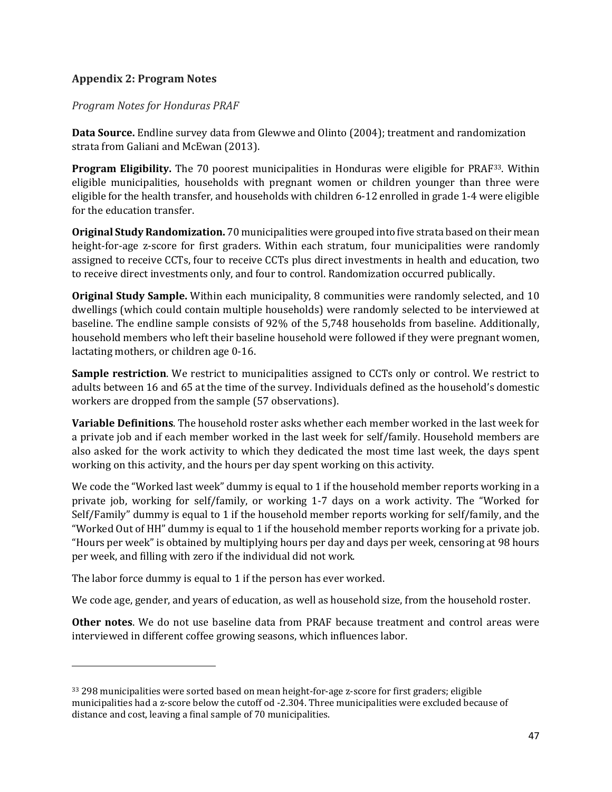#### **Appendix 2: Program Notes**

*Program Notes for Honduras PRAF*

**Data Source.** Endline survey data from Glewwe and Olinto (2004); treatment and randomization strata from Galiani and McEwan (2013).

**Program Eligibility.** The 70 poorest municipalities in Honduras were eligible for PRAF33. Within eligible municipalities, households with pregnant women or children younger than three were eligible for the health transfer, and households with children 6-12 enrolled in grade 1-4 were eligible for the education transfer.

**Original Study Randomization.** 70 municipalities were grouped into five strata based on their mean height-for-age z-score for first graders. Within each stratum, four municipalities were randomly assigned to receive CCTs, four to receive CCTs plus direct investments in health and education, two to receive direct investments only, and four to control. Randomization occurred publically.

**Original Study Sample.** Within each municipality, 8 communities were randomly selected, and 10 dwellings (which could contain multiple households) were randomly selected to be interviewed at baseline. The endline sample consists of 92% of the 5,748 households from baseline. Additionally, household members who left their baseline household were followed if they were pregnant women, lactating mothers, or children age 0-16.

**Sample restriction**. We restrict to municipalities assigned to CCTs only or control. We restrict to adults between 16 and 65 at the time of the survey. Individuals defined as the household's domestic workers are dropped from the sample (57 observations).

**Variable Definitions**. The household roster asks whether each member worked in the last week for a private job and if each member worked in the last week for self/family. Household members are also asked for the work activity to which they dedicated the most time last week, the days spent working on this activity, and the hours per day spent working on this activity.

We code the "Worked last week" dummy is equal to 1 if the household member reports working in a private job, working for self/family, or working 1-7 days on a work activity. The "Worked for Self/Family" dummy is equal to 1 if the household member reports working for self/family, and the "Worked Out of HH" dummy is equal to 1 if the household member reports working for a private job. "Hours per week" is obtained by multiplying hours per day and days per week, censoring at 98 hours per week, and filling with zero if the individual did not work.

The labor force dummy is equal to 1 if the person has ever worked.

We code age, gender, and years of education, as well as household size, from the household roster.

**Other notes**. We do not use baseline data from PRAF because treatment and control areas were interviewed in different coffee growing seasons, which influences labor.

<sup>33 298</sup> municipalities were sorted based on mean height-for-age z-score for first graders; eligible municipalities had a z-score below the cutoff od -2.304. Three municipalities were excluded because of distance and cost, leaving a final sample of 70 municipalities.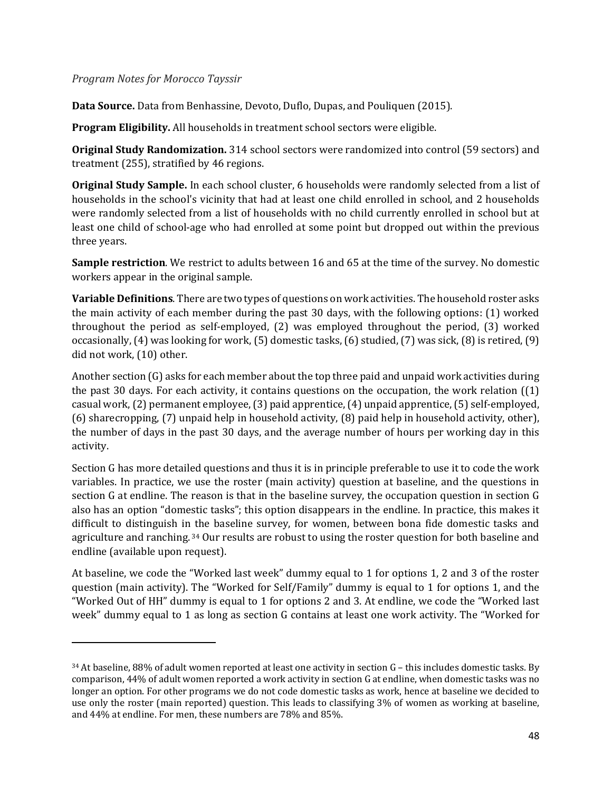#### *Program Notes for Morocco Tayssir*

**Data Source.** Data from Benhassine, Devoto, Duflo, Dupas, and Pouliquen (2015).

**Program Eligibility.** All households in treatment school sectors were eligible.

**Original Study Randomization.** 314 school sectors were randomized into control (59 sectors) and treatment (255), stratified by 46 regions.

**Original Study Sample.** In each school cluster, 6 households were randomly selected from a list of households in the school's vicinity that had at least one child enrolled in school, and 2 households were randomly selected from a list of households with no child currently enrolled in school but at least one child of school-age who had enrolled at some point but dropped out within the previous three years.

**Sample restriction**. We restrict to adults between 16 and 65 at the time of the survey. No domestic workers appear in the original sample.

**Variable Definitions**. There are two types of questions on work activities. The household roster asks the main activity of each member during the past 30 days, with the following options: (1) worked throughout the period as self-employed,  $(2)$  was employed throughout the period,  $(3)$  worked occasionally,  $(4)$  was looking for work,  $(5)$  domestic tasks,  $(6)$  studied,  $(7)$  was sick,  $(8)$  is retired,  $(9)$ did not work, (10) other.

Another section  $(G)$  asks for each member about the top three paid and unpaid work activities during the past 30 days. For each activity, it contains questions on the occupation, the work relation  $(1)$ casual work,  $(2)$  permanent employee,  $(3)$  paid apprentice,  $(4)$  unpaid apprentice,  $(5)$  self-employed, (6) sharecropping, (7) unpaid help in household activity, (8) paid help in household activity, other), the number of days in the past 30 days, and the average number of hours per working day in this activity. 

Section G has more detailed questions and thus it is in principle preferable to use it to code the work variables. In practice, we use the roster (main activity) question at baseline, and the questions in section G at endline. The reason is that in the baseline survey, the occupation question in section G also has an option "domestic tasks"; this option disappears in the endline. In practice, this makes it difficult to distinguish in the baseline survey, for women, between bona fide domestic tasks and agriculture and ranching. 34 Our results are robust to using the roster question for both baseline and endline (available upon request).

At baseline, we code the "Worked last week" dummy equal to 1 for options 1, 2 and 3 of the roster question (main activity). The "Worked for Self/Family" dummy is equal to 1 for options 1, and the "Worked Out of HH" dummy is equal to 1 for options 2 and 3. At endline, we code the "Worked last week" dummy equal to 1 as long as section  $G$  contains at least one work activity. The "Worked for

 $34$  At baseline, 88% of adult women reported at least one activity in section G – this includes domestic tasks. By comparison, 44% of adult women reported a work activity in section G at endline, when domestic tasks was no longer an option. For other programs we do not code domestic tasks as work, hence at baseline we decided to use only the roster (main reported) question. This leads to classifying 3% of women as working at baseline, and 44% at endline. For men, these numbers are 78% and 85%.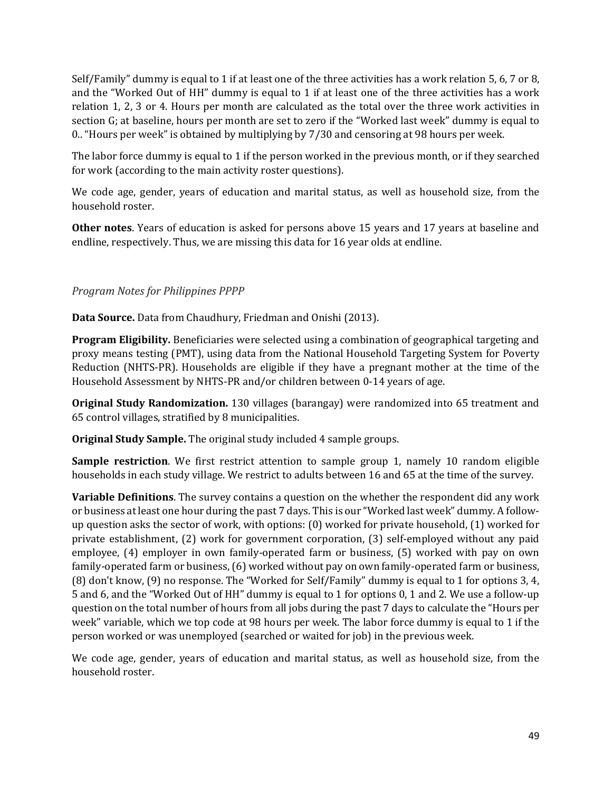Self/Family" dummy is equal to 1 if at least one of the three activities has a work relation 5, 6, 7 or 8, and the "Worked Out of HH" dummy is equal to 1 if at least one of the three activities has a work relation 1, 2, 3 or 4. Hours per month are calculated as the total over the three work activities in section G; at baseline, hours per month are set to zero if the "Worked last week" dummy is equal to 0.. "Hours per week" is obtained by multiplying by 7/30 and censoring at 98 hours per week.

The labor force dummy is equal to 1 if the person worked in the previous month, or if they searched for work (according to the main activity roster questions).

We code age, gender, years of education and marital status, as well as household size, from the household roster.

**Other notes**. Years of education is asked for persons above 15 years and 17 years at baseline and endline, respectively. Thus, we are missing this data for 16 year olds at endline.

#### *Program Notes for Philippines PPPP*

**Data Source.** Data from Chaudhury, Friedman and Onishi (2013).

**Program Eligibility.** Beneficiaries were selected using a combination of geographical targeting and proxy means testing (PMT), using data from the National Household Targeting System for Poverty Reduction (NHTS-PR). Households are eligible if they have a pregnant mother at the time of the Household Assessment by NHTS-PR and/or children between 0-14 years of age.

**Original Study Randomization.** 130 villages (barangay) were randomized into 65 treatment and 65 control villages, stratified by 8 municipalities.

**Original Study Sample.** The original study included 4 sample groups.

**Sample restriction**. We first restrict attention to sample group 1, namely 10 random eligible households in each study village. We restrict to adults between 16 and 65 at the time of the survey.

**Variable Definitions**. The survey contains a question on the whether the respondent did any work or business at least one hour during the past 7 days. This is our "Worked last week" dummy. A followup question asks the sector of work, with options:  $(0)$  worked for private household,  $(1)$  worked for private establishment, (2) work for government corporation, (3) self-employed without any paid employee, (4) employer in own family-operated farm or business, (5) worked with pay on own family-operated farm or business, (6) worked without pay on own family-operated farm or business, (8) don't know, (9) no response. The "Worked for Self/Family" dummy is equal to 1 for options 3, 4, 5 and 6, and the "Worked Out of HH" dummy is equal to 1 for options 0, 1 and 2. We use a follow-up question on the total number of hours from all jobs during the past 7 days to calculate the "Hours per week" variable, which we top code at 98 hours per week. The labor force dummy is equal to 1 if the person worked or was unemployed (searched or waited for job) in the previous week.

We code age, gender, years of education and marital status, as well as household size, from the household roster.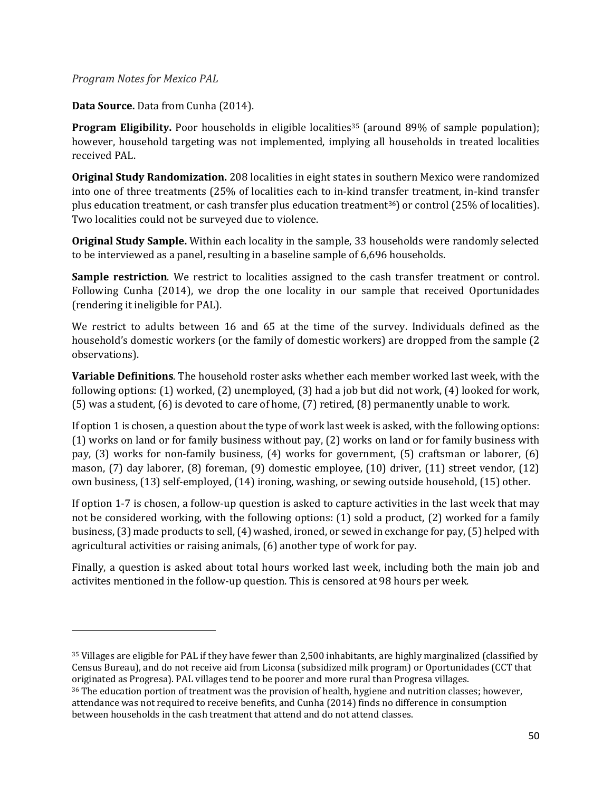#### *Program Notes for Mexico PAL*

**Data Source.** Data from Cunha (2014).

**Program Eligibility.** Poor households in eligible localities<sup>35</sup> (around 89% of sample population); however, household targeting was not implemented, implying all households in treated localities received PAL.

**Original Study Randomization.** 208 localities in eight states in southern Mexico were randomized into one of three treatments (25% of localities each to in-kind transfer treatment, in-kind transfer plus education treatment, or cash transfer plus education treatment<sup>36</sup>) or control (25% of localities). Two localities could not be surveyed due to violence.

**Original Study Sample.** Within each locality in the sample, 33 households were randomly selected to be interviewed as a panel, resulting in a baseline sample of 6,696 households.

**Sample restriction**. We restrict to localities assigned to the cash transfer treatment or control. Following Cunha (2014), we drop the one locality in our sample that received Oportunidades (rendering it ineligible for PAL).

We restrict to adults between 16 and 65 at the time of the survey. Individuals defined as the household's domestic workers (or the family of domestic workers) are dropped from the sample (2 observations). 

**Variable Definitions**. The household roster asks whether each member worked last week, with the following options:  $(1)$  worked,  $(2)$  unemployed,  $(3)$  had a job but did not work,  $(4)$  looked for work,  $(5)$  was a student,  $(6)$  is devoted to care of home,  $(7)$  retired,  $(8)$  permanently unable to work.

If option 1 is chosen, a question about the type of work last week is asked, with the following options: (1) works on land or for family business without pay, (2) works on land or for family business with pay,  $(3)$  works for non-family business,  $(4)$  works for government,  $(5)$  craftsman or laborer,  $(6)$ mason,  $(7)$  day laborer,  $(8)$  foreman,  $(9)$  domestic employee,  $(10)$  driver,  $(11)$  street vendor,  $(12)$ own business, (13) self-employed, (14) ironing, washing, or sewing outside household, (15) other.

If option 1-7 is chosen, a follow-up question is asked to capture activities in the last week that may not be considered working, with the following options:  $(1)$  sold a product,  $(2)$  worked for a family business, (3) made products to sell, (4) washed, ironed, or sewed in exchange for pay, (5) helped with agricultural activities or raising animals, (6) another type of work for pay.

Finally, a question is asked about total hours worked last week, including both the main job and activites mentioned in the follow-up question. This is censored at 98 hours per week.

 $35$  Villages are eligible for PAL if they have fewer than 2,500 inhabitants, are highly marginalized (classified by Census Bureau), and do not receive aid from Liconsa (subsidized milk program) or Oportunidades (CCT that originated as Progresa). PAL villages tend to be poorer and more rural than Progresa villages.

<sup>&</sup>lt;sup>36</sup> The education portion of treatment was the provision of health, hygiene and nutrition classes; however, attendance was not required to receive benefits, and Cunha (2014) finds no difference in consumption between households in the cash treatment that attend and do not attend classes.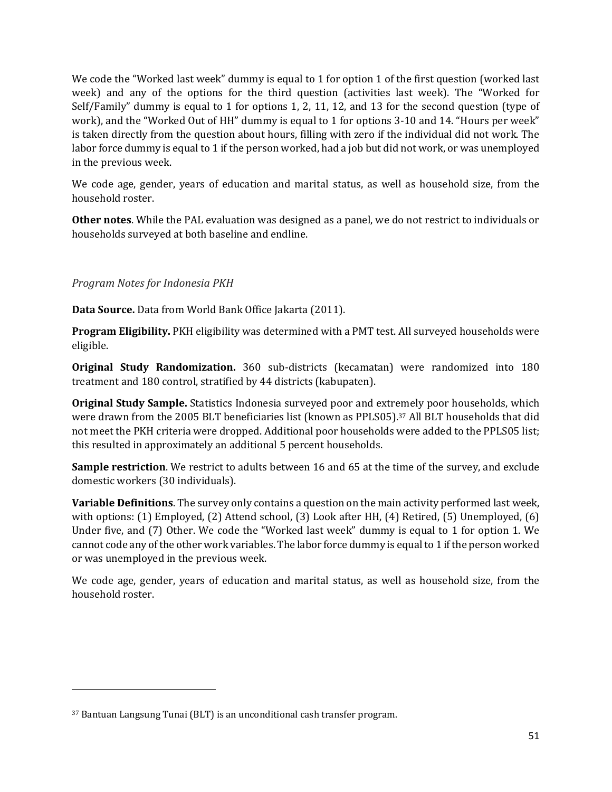We code the "Worked last week" dummy is equal to 1 for option 1 of the first question (worked last week) and any of the options for the third question (activities last week). The "Worked for Self/Family" dummy is equal to 1 for options 1, 2, 11, 12, and 13 for the second question (type of work), and the "Worked Out of HH" dummy is equal to 1 for options 3-10 and 14. "Hours per week" is taken directly from the question about hours, filling with zero if the individual did not work. The labor force dummy is equal to 1 if the person worked, had a job but did not work, or was unemployed in the previous week.

We code age, gender, years of education and marital status, as well as household size, from the household roster.

**Other notes**. While the PAL evaluation was designed as a panel, we do not restrict to individuals or households surveyed at both baseline and endline.

### *Program Notes for Indonesia PKH*

**Data Source.** Data from World Bank Office Jakarta (2011).

**Program Eligibility.** PKH eligibility was determined with a PMT test. All surveyed households were eligible. 

**Original Study Randomization.** 360 sub-districts (kecamatan) were randomized into 180 treatment and 180 control, stratified by 44 districts (kabupaten).

**Original Study Sample.** Statistics Indonesia surveyed poor and extremely poor households, which were drawn from the 2005 BLT beneficiaries list (known as PPLS05).<sup>37</sup> All BLT households that did not meet the PKH criteria were dropped. Additional poor households were added to the PPLS05 list; this resulted in approximately an additional 5 percent households.

**Sample restriction**. We restrict to adults between 16 and 65 at the time of the survey, and exclude domestic workers (30 individuals).

**Variable Definitions**. The survey only contains a question on the main activity performed last week, with options:  $(1)$  Employed,  $(2)$  Attend school,  $(3)$  Look after HH,  $(4)$  Retired,  $(5)$  Unemployed,  $(6)$ Under five, and (7) Other. We code the "Worked last week" dummy is equal to 1 for option 1. We cannot code any of the other work variables. The labor force dummy is equal to 1 if the person worked or was unemployed in the previous week.

We code age, gender, years of education and marital status, as well as household size, from the household roster.

<sup>&</sup>lt;sup>37</sup> Bantuan Langsung Tunai (BLT) is an unconditional cash transfer program.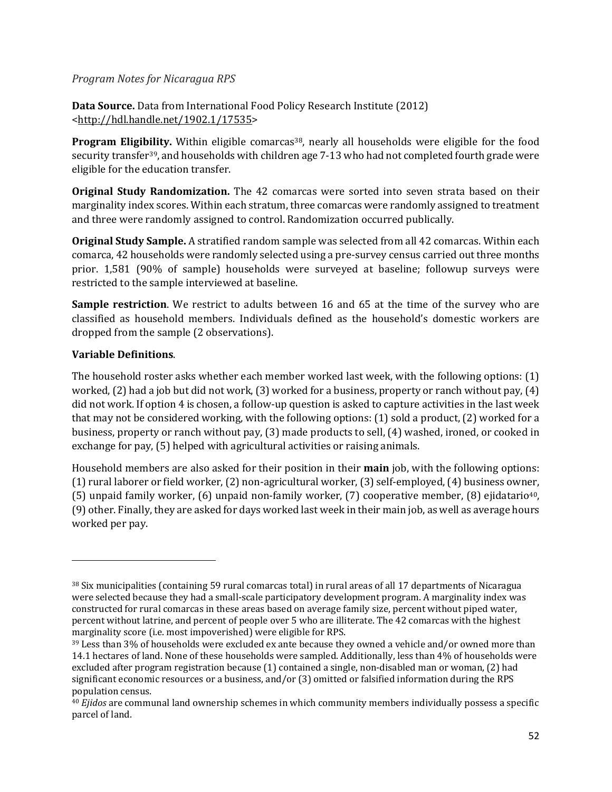#### *Program Notes for Nicaragua RPS*

**Data Source.** Data from International Food Policy Research Institute (2012) <http://hdl.handle.net/1902.1/17535> 

**Program Eligibility.** Within eligible comarcas<sup>38</sup>, nearly all households were eligible for the food security transfer<sup>39</sup>, and households with children age 7-13 who had not completed fourth grade were eligible for the education transfer.

**Original Study Randomization.** The 42 comarcas were sorted into seven strata based on their marginality index scores. Within each stratum, three comarcas were randomly assigned to treatment and three were randomly assigned to control. Randomization occurred publically.

**Original Study Sample.** A stratified random sample was selected from all 42 comarcas. Within each comarca, 42 households were randomly selected using a pre-survey census carried out three months prior. 1,581 (90% of sample) households were surveyed at baseline; followup surveys were restricted to the sample interviewed at baseline.

**Sample restriction**. We restrict to adults between 16 and 65 at the time of the survey who are classified as household members. Individuals defined as the household's domestic workers are dropped from the sample (2 observations).

### **Variable Definitions**.

The household roster asks whether each member worked last week, with the following options:  $(1)$ worked,  $(2)$  had a job but did not work,  $(3)$  worked for a business, property or ranch without pay,  $(4)$ did not work. If option 4 is chosen, a follow-up question is asked to capture activities in the last week that may not be considered working, with the following options:  $(1)$  sold a product,  $(2)$  worked for a business, property or ranch without pay,  $(3)$  made products to sell,  $(4)$  washed, ironed, or cooked in exchange for pay, (5) helped with agricultural activities or raising animals.

Household members are also asked for their position in their **main** job, with the following options:  $(1)$  rural laborer or field worker,  $(2)$  non-agricultural worker,  $(3)$  self-employed,  $(4)$  business owner, (5) unpaid family worker,  $(6)$  unpaid non-family worker,  $(7)$  cooperative member,  $(8)$  ejidatario<sup>40</sup>, (9) other. Finally, they are asked for days worked last week in their main job, as well as average hours worked per pay.

 $38$  Six municipalities (containing 59 rural comarcas total) in rural areas of all 17 departments of Nicaragua were selected because they had a small-scale participatory development program. A marginality index was constructed for rural comarcas in these areas based on average family size, percent without piped water, percent without latrine, and percent of people over 5 who are illiterate. The 42 comarcas with the highest marginality score (i.e. most impoverished) were eligible for RPS.

<sup>39</sup> Less than 3% of households were excluded ex ante because they owned a vehicle and/or owned more than 14.1 hectares of land. None of these households were sampled. Additionally, less than 4% of households were excluded after program registration because (1) contained a single, non-disabled man or woman, (2) had significant economic resources or a business, and/or  $(3)$  omitted or falsified information during the RPS population census.

<sup>&</sup>lt;sup>40</sup> *Ejidos* are communal land ownership schemes in which community members individually possess a specific parcel of land.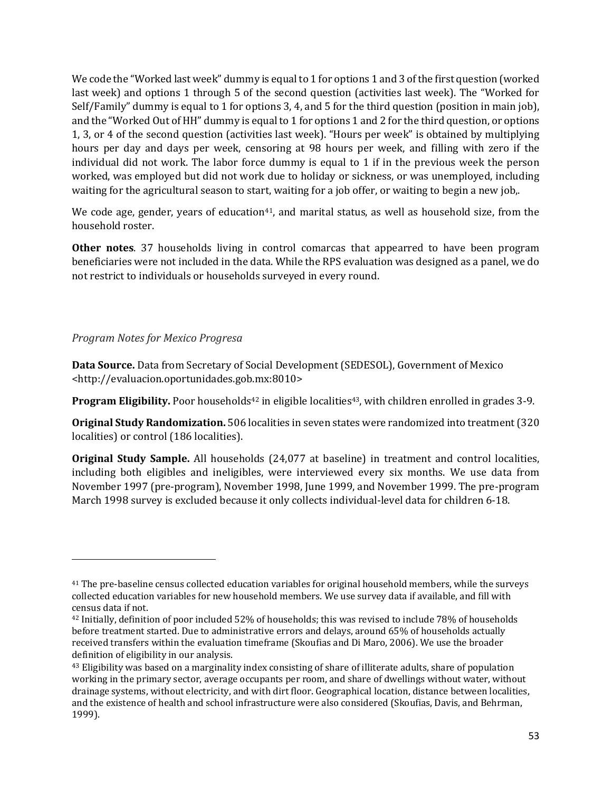We code the "Worked last week" dummy is equal to 1 for options 1 and 3 of the first question (worked last week) and options 1 through 5 of the second question (activities last week). The "Worked for Self/Family" dummy is equal to 1 for options 3, 4, and 5 for the third question (position in main job), and the "Worked Out of HH" dummy is equal to 1 for options 1 and 2 for the third question, or options 1, 3, or 4 of the second question (activities last week). "Hours per week" is obtained by multiplying hours per day and days per week, censoring at 98 hours per week, and filling with zero if the individual did not work. The labor force dummy is equal to  $1$  if in the previous week the person worked, was employed but did not work due to holiday or sickness, or was unemployed, including waiting for the agricultural season to start, waiting for a job offer, or waiting to begin a new job,.

We code age, gender, years of education<sup>41</sup>, and marital status, as well as household size, from the household roster.

**Other notes**. 37 households living in control comarcas that appearred to have been program beneficiaries were not included in the data. While the RPS evaluation was designed as a panel, we do not restrict to individuals or households surveyed in every round.

#### *Program Notes for Mexico Progresa*

**Data Source.** Data from Secretary of Social Development (SEDESOL), Government of Mexico <http://evaluacion.oportunidades.gob.mx:8010> 

**Program Eligibility.** Poor households<sup>42</sup> in eligible localities<sup>43</sup>, with children enrolled in grades  $3-9$ .

**Original Study Randomization.** 506 localities in seven states were randomized into treatment (320) localities) or control (186 localities).

**Original Study Sample.** All households (24,077 at baseline) in treatment and control localities, including both eligibles and ineligibles, were interviewed every six months. We use data from November 1997 (pre-program), November 1998, June 1999, and November 1999. The pre-program March 1998 survey is excluded because it only collects individual-level data for children 6-18.

<sup>&</sup>lt;sup>41</sup> The pre-baseline census collected education variables for original household members, while the surveys collected education variables for new household members. We use survey data if available, and fill with census data if not.

<sup>&</sup>lt;sup>42</sup> Initially, definition of poor included 52% of households; this was revised to include 78% of households before treatment started. Due to administrative errors and delays, around 65% of households actually received transfers within the evaluation timeframe (Skoufias and Di Maro, 2006). We use the broader definition of eligibility in our analysis.

<sup>&</sup>lt;sup>43</sup> Eligibility was based on a marginality index consisting of share of illiterate adults, share of population working in the primary sector, average occupants per room, and share of dwellings without water, without drainage systems, without electricity, and with dirt floor. Geographical location, distance between localities, and the existence of health and school infrastructure were also considered (Skoufias, Davis, and Behrman, 1999).